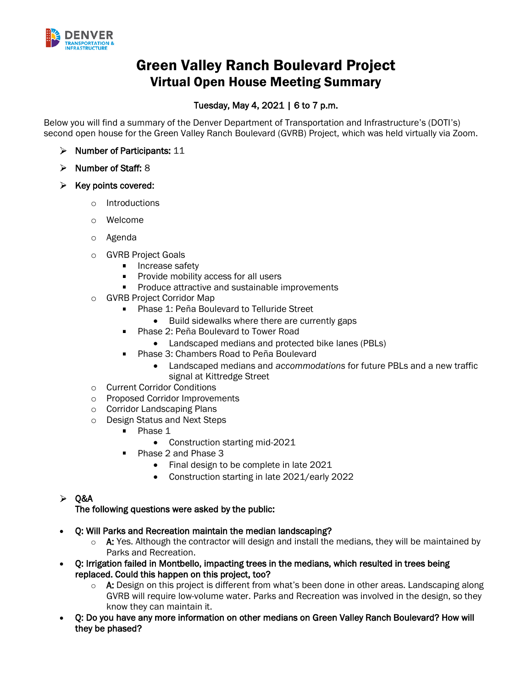

# Green Valley Ranch Boulevard Project Virtual Open House Meeting Summary

## Tuesday, May 4, 2021 | 6 to 7 p.m.

Below you will find a summary of the Denver Department of Transportation and Infrastructure's (DOTI's) second open house for the Green Valley Ranch Boulevard (GVRB) Project, which was held virtually via Zoom.

- $\triangleright$  Number of Participants: 11
- $\triangleright$  Number of Staff: 8
- $\triangleright$  Key points covered:
	- o Introductions
	- o Welcome
	- o Agenda
	- o GVRB Project Goals
		- **Increase safety**
		- **Provide mobility access for all users**
		- **Produce attractive and sustainable improvements**
	- o GVRB Project Corridor Map
		- **Phase 1: Peña Boulevard to Telluride Street** 
			- Build sidewalks where there are currently gaps
		- Phase 2: Peña Boulevard to Tower Road  $\blacksquare$ 
			- Landscaped medians and protected bike lanes (PBLs)
		- **Phase 3: Chambers Road to Peña Boulevard** 
			- Landscaped medians and *accommodations* for future PBLs and a new traffic signal at Kittredge Street
	- o Current Corridor Conditions
	- o Proposed Corridor Improvements
	- o Corridor Landscaping Plans
	- o Design Status and Next Steps
		- **Phase 1** 
			- Construction starting mid-2021
		- Phase 2 and Phase 3  $\blacksquare$ 
			- Final design to be complete in late 2021
			- Construction starting in late 2021/early 2022
- $\geq$  Q&A

The following questions were asked by the public:

- Q: Will Parks and Recreation maintain the median landscaping?
	- $\circ$  A: Yes. Although the contractor will design and install the medians, they will be maintained by Parks and Recreation.
- Q: Irrigation failed in Montbello, impacting trees in the medians, which resulted in trees being replaced. Could this happen on this project, too?
	- $\circ$  A: Design on this project is different from what's been done in other areas. Landscaping along GVRB will require low-volume water. Parks and Recreation was involved in the design, so they know they can maintain it.
- Q: Do you have any more information on other medians on Green Valley Ranch Boulevard? How will they be phased?